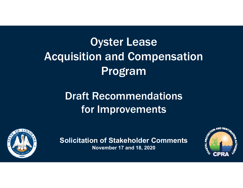# Oyster Lease Acquisition and Compensation Program

## Draft Recommendations for Improvements



**Solicitation of Stakeholder Comments November 17 and 18, 2020**

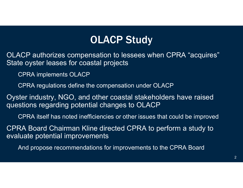## **OLACP Study**

OLACP authorizes compensation to lessees when CPRA "acquires" State oyster leases for coastal projects

CPRA implements OLACP

CPRA regulations define the compensation under OLACP

Oyster industry, NGO, and other coastal stakeholders have raised questions regarding potential changes to OLACP

CPRA itself has noted inefficiencies or other issues that could be improved

CPRA Board Chairman Kline directed CPRA to perform a study to evaluate potential improvements

And propose recommendations for improvements to the CPRA Board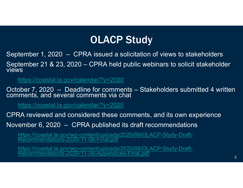## OLACP Study

September 1, 2020 – CPRA issued a solicitation of views to stakeholders

September 21 & 23, 2020 – CPRA held public webinars to solicit stakeholder views

https://coastal.la.gov/calendar/?y=2020

October 7, 2020 – Deadline for comments – Stakeholders submitted 4 written comments, and several comments via chat

https://coastal.la.gov/calendar/?y=2020

CPRA reviewed and considered these comments, and its own experience

November 6, 2020 – CPRA published its draft recommendations

https://coastal.la.gov/wp-content/uploads/2020/09/OLACP-Study-Draft-<br>Recommendations-2020-11-06-Final.pdf

https://coastal.la.gov/wp-content/uploads/2020/09/OLACP-Study-Draft-<br>Recommendations-2020-11-06-Appendices-Final.pdf 33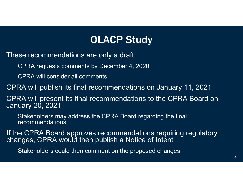## OLACP Study

These recommendations are only a draft

CPRA requests comments by December 4, 2020

CPRA will consider all comments

CPRA will publish its final recommendations on January 11, 2021

CPRA will present its final recommendations to the CPRA Board on January 20, 2021

Stakeholders may address the CPRA Board regarding the final recommendations

If the CPRA Board approves recommendations requiring regulatory changes, CPRA would then publish a Notice of Intent

Stakeholders could then comment on the proposed changes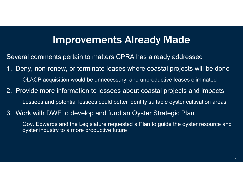## Improvements Already Made

Several comments pertain to matters CPRA has already addressed

- 1. Deny, non-renew, or terminate leases where coastal projects will be done OLACP acquisition would be unnecessary, and unproductive leases eliminated
- 2. Provide more information to lessees about coastal projects and impacts Lessees and potential lessees could better identify suitable oyster cultivation areas
- 3. Work with DWF to develop and fund an Oyster Strategic Plan

Gov. Edwards and the Legislature requested a Plan to guide the oyster resource and oyster industry to a more productive future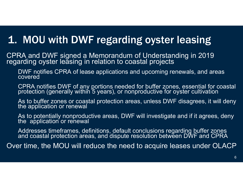## 1. MOU with DWF regarding oyster leasing

CPRA and DWF signed a Memorandum of Understanding in 2019 regarding oyster leasing in relation to coastal projects

DWF notifies CPRA of lease applications and upcoming renewals, and areas covered

CPRA notifies DWF of any portions needed for buffer zones, essential for coastal protection (generally within 5 years), or nonproductive for oyster cultivation

As to buffer zones or coastal protection areas, unless DWF disagrees, it will deny the application or renewal

As to potentially nonproductive areas, DWF will investigate and if it agrees, deny the application or renewal

Addresses timeframes, definitions, default conclusions regarding buffer zones and coastal protection areas, and dispute resolution between DWF and CPRA

Over time, the MOU will reduce the need to acquire leases under OLACP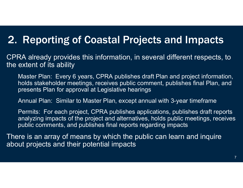## 2. Reporting of Coastal Projects and Impacts

CPRA already provides this information, in several different respects, to the extent of its ability

Master Plan: Every 6 years, CPRA publishes draft Plan and project information, holds stakeholder meetings, receives public comment, publishes final Plan, and presents Plan for approval at Legislative hearings

Annual Plan: Similar to Master Plan, except annual with 3-year timeframe

Permits: For each project, CPRA publishes applications, publishes draft reports analyzing impacts of the project and alternatives, holds public meetings, receives public comments, and publishes final reports regarding impacts

There is an array of means by which the public can learn and inquire about projects and their potential impacts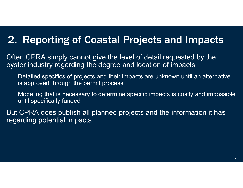## 2. Reporting of Coastal Projects and Impacts

Often CPRA simply cannot give the level of detail requested by the oyster industry regarding the degree and location of impacts

Detailed specifics of projects and their impacts are unknown until an alternative is approved through the permit process

Modeling that is necessary to determine specific impacts is costly and impossible until specifically funded

But CPRA does publish all planned projects and the information it has regarding potential impacts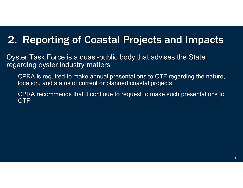## 2. Reporting of Coastal Projects and Impacts

Oyster Task Force is a quasi-public body that advises the State regarding oyster industry matters

CPRA is required to make annual presentations to OTF regarding the nature, location, and status of current or planned coastal projects

CPRA recommends that it continue to request to make such presentations to OTF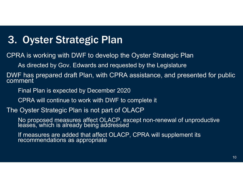## 3. Oyster Strategic Plan

CPRA is working with DWF to develop the Oyster Strategic Plan

As directed by Gov. Edwards and requested by the Legislature

DWF has prepared draft Plan, with CPRA assistance, and presented for public comment

Final Plan is expected by December 2020

CPRA will continue to work with DWF to complete it

#### The Oyster Strategic Plan is not part of OLACP

No proposed measures affect OLACP, except non-renewal of unproductive leases, which is already being addressed

If measures are added that affect OLACP, CPRA will supplement its recommendations as appropriate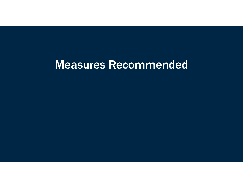## Measures Recommended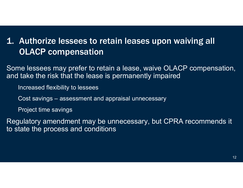### 1. Authorize lessees to retain leases upon waiving all OLACP compensation

Some lessees may prefer to retain a lease, waive OLACP compensation, and take the risk that the lease is permanently impaired

Increased flexibility to lessees

Cost savings – assessment and appraisal unnecessary

Project time savings

Regulatory amendment may be unnecessary, but CPRA recommends it to state the process and conditions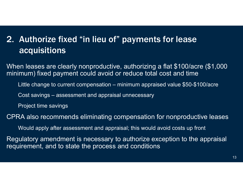### 2. Authorize fixed "in lieu of" payments for lease acquisitions

When leases are clearly nonproductive, authorizing a flat \$100/acre (\$1,000 minimum) fixed payment could avoid or reduce total cost and time

Little change to current compensation – minimum appraised value \$50-\$100/acre

Cost savings – assessment and appraisal unnecessary

Project time savings

CPRA also recommends eliminating compensation for nonproductive leases

Would apply after assessment and appraisal; this would avoid costs up front

Regulatory amendment is necessary to authorize exception to the appraisal requirement, and to state the process and conditions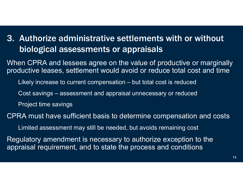## 3. Authorize administrative settlements with or without biological assessments or appraisals

When CPRA and lessees agree on the value of productive or marginally productive leases, settlement would avoid or reduce total cost and time

Likely increase to current compensation – but total cost is reduced

Cost savings – assessment and appraisal unnecessary or reduced

Project time savings

CPRA must have sufficient basis to determine compensation and costs

Limited assessment may still be needed, but avoids remaining cost

Regulatory amendment is necessary to authorize exception to the appraisal requirement, and to state the process and conditions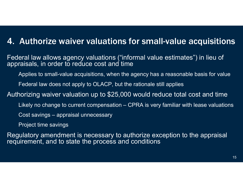### 4. Authorize waiver valuations for small-value acquisitions

Federal law allows agency valuations ("informal value estimates") in lieu of appraisals, in order to reduce cost and time

Applies to small-value acquisitions, when the agency has a reasonable basis for value

Federal law does not apply to OLACP, but the rationale still applies

Authorizing waiver valuation up to \$25,000 would reduce total cost and time

Likely no change to current compensation – CPRA is very familiar with lease valuations

Cost savings – appraisal unnecessary

Project time savings

Regulatory amendment is necessary to authorize exception to the appraisal requirement, and to state the process and conditions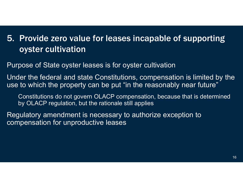### 5. Provide zero value for leases incapable of supporting oyster cultivation

Purpose of State oyster leases is for oyster cultivation

Under the federal and state Constitutions, compensation is limited by the use to which the property can be put "in the reasonably near future"

Constitutions do not govern OLACP compensation, because that is determined by OLACP regulation, but the rationale still applies

Regulatory amendment is necessary to authorize exception to compensation for unproductive leases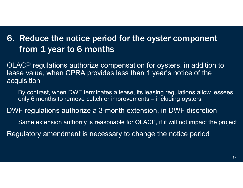### 6. Reduce the notice period for the oyster component from 1 year to 6 months

OLACP regulations authorize compensation for oysters, in addition to lease value, when CPRA provides less than 1 year's notice of the acquisition

By contrast, when DWF terminates a lease, its leasing regulations allow lessees only 6 months to remove cultch or improvements – including oysters

DWF regulations authorize a 3-month extension, in DWF discretio n

Same extension authority is reasonable for OLACP, if it will not impact the project

Regulatory amendment is necessary to change the notice period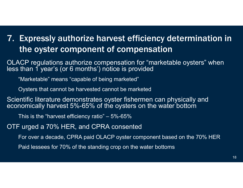## 7. Expressly authorize harvest efficiency determination in the oyster component of compensation

OLACP regulations authorize compensation for "marketable oysters" when less than 1 year's (or 6 months<sup>7</sup>) notice is provided

"Marketable" means "capable of being marketed"

Oysters that cannot be harvested cannot be marketed

Scientific literature demonstrates oyster fishermen can physically and economically harvest 5%-65% of the oysters on the water bottom

This is the "harvest efficiency ratio" – 5%-65%

OTF urged a 70% HER, and CPRA consented

For over a decade, CPRA paid OLACP oyster component based on the 70% HER

Paid lessees for 70% of the standing crop on the water bottoms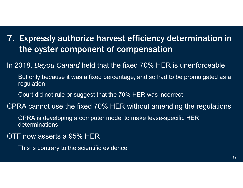- 7. Expressly authorize harvest efficiency determination in the oyster component of compensation
- In 2018, *Bayou Canard* held that the fixed 70% HER is unenforceable
	- But only because it was a fixed percentage, and so had to be promulgated as a regulation
	- Court did not rule or suggest that the 70% HER was incorrect
- CPRA cannot use the fixed 70% HER without amending the regulations
	- CPRA is developing a computer model to make lease-specific HER determinations
- OTF now asserts a 95% HER
	- This is contrary to the scientific evidence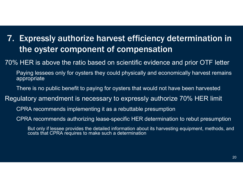## 7. Expressly authorize harvest efficiency determination in the oyster component of compensation

70% HER is above the ratio based on scientific evidence and prior OTF letter

Paying lessees only for oysters they could physically and economically harvest remains appropriate

There is no public benefit to paying for oysters that would not have been harvested

Regulatory amendment is necessary to expressly authorize 70% HER limit

CPRA recommends implementing it as a rebuttable presumption

CPRA recommends authorizing lease-specific HER determination to rebut presumption

But only if lessee provides the detailed information about its harvesting equipment, methods, and costs that CPRA requires to make such a determination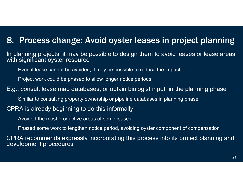#### 8. Process change: Avoid oyster leases in project planning

In planning projects, it may be possible to design them to avoid leases or lease areas with significant oyster resource

Even if lease cannot be avoided, it may be possible to reduce the impact

Project work could be phased to allow longer notice periods

E.g., consult lease map databases, or obtain biologist input, in the planning phase

Similar to consulting property ownership or pipeline databases in planning phase

#### CPRA is already beginning to do this informally

Avoided the most productive areas of some leases

Phased some work to lengthen notice period, avoiding oyster component of compensation

CPRA recommends expressly incorporating this process into its project planning and development procedures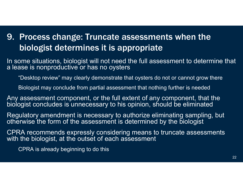### 9. Process change: Truncate assessments when the biologist determines it is appropriate

In some situations, biologist will not need the full assessment to determine that a lease is nonproductive or has no oysters

"Desktop review" may clearly demonstrate that oysters do not or cannot grow there

Biologist may conclude from partial assessment that nothing further is needed

Any assessment component, or the full extent of any component, that the biologist concludes is unnecessary to his opinion, should be eliminated

Regulatory amendment is necessary to authorize eliminating sampling, but otherwise the form of the assessment is determined by the biologist

CPRA recommends expressly considering means to truncate assessments with the biologist, at the outset of each assessment

CPRA is already beginning to do this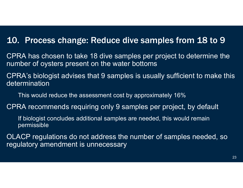### 10. Process change: Reduce dive samples from 18 to 9

CPRA has chosen to take 18 dive samples per project to determine the number of oysters present on the water bottoms

CPRA's biologist advises that 9 samples is usually sufficient to make this determination

This would reduce the assessment cost by approximately 16%

CPRA recommends requiring only 9 samples per project, by defaul t

If biologist concludes additional samples are needed, this would remain permissible

OLACP regulations do not address the number of samples needed, so regulatory amendment is unnecessary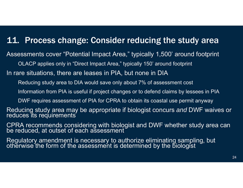### 11. Process change: Consider reducing the study area

Assessments cover "Potential Impact Area," typically 1,500' around footprint

OLACP applies only in "Direct Impact Area," typically 150' around footprint

In rare situations, there are leases in PIA, but none in DIA

Reducing study area to DIA would save only about 7% of assessment cost

Information from PIA is useful if project changes or to defend claims by lessees in PIA

DWF requires assessment of PIA for CPRA to obtain its coastal use permit anyway

Reducing study area may be appropriate if biologist concurs *and* DWF waives or reduces its requirements

CPRA recommends considering with biologist and DWF whether study area can be reduced, at outset of each assessment

Regulatory amendment is necessary to authorize eliminating sampling, but otherwise the form of the assessment is determined by the biologist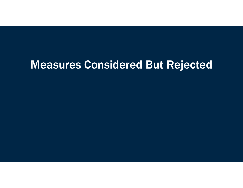## Measures Considered But Rejected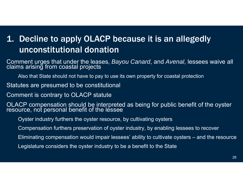## 1. Decline to apply OLACP because it is an allegedly unconstitutional donation

Comment urges that under the leases, *Bayou Canard*, and *Avenal*, lessees waive all claims arising from coastal projects

Also that State should not have to pay to use its own property for coastal protection

Statutes are presumed to be constitutional

Comment is contrary to OLACP statute

OLACP compensation should be interpreted as being for public benefit of the oyster resource, not personal benefit of the lessee

Oyster industry furthers the oyster resource, by cultivating oysters

Compensation furthers preservation of oyster industry, by enabling lessees to recover

Eliminating compensation would impair lessees' ability to cultivate oysters – and the resource

Legislature considers the oyster industry to be a benefit to the State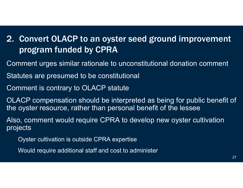## 2. Convert OLACP to an oyster seed ground improvement program funded by CPRA

- Comment urges similar rationale to unconstitutional donation comment
- Statutes are presumed to be constitutional
- Comment is contrary to OLACP statute
- OLACP compensation should be interpreted as being for public benefit of the oyster resource, rather than personal benefit of the lessee
- Also, comment would require CPRA to develop new oyster cultivation projects
	- Oyster cultivation is outside CPRA expertise
	- Would require additional staff and cost to administer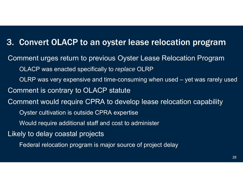### 3. Convert OLACP to an oyster lease relocation program

Comment urges return to previous Oyster Lease Relocation Progra m OLACP was enacted specifically to *replace* OLRP OLRP was very expensive and time-consuming when used – yet was rarely used Comment is contrary to OLACP statute Comment would require CPRA to develop lease relocation capability Oyster cultivation is outside CPRA expertise Would require additional staff and cost to administer Likely to delay coastal projects Federal relocation program is major source of project delay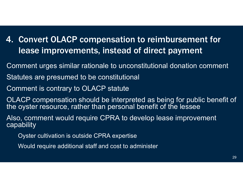### 4. Convert OLACP compensation to reimbursement for lease improvements, instead of direct payment

Comment urges similar rationale to unconstitutional donation comment

Statutes are presumed to be constitutional

Comment is contrary to OLACP statute

OLACP compensation should be interpreted as being for public benefit of the oyster resource, rather than personal benefit of the lessee

Also, comment would require CPRA to develop lease improvement capability

Oyster cultivation is outside CPRA expertise

Would require additional staff and cost to administer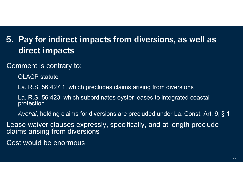### 5. Pay for indirect impacts from diversions, as well as direct impacts

Comment is contrary to:

OLACP statute

La. R.S. 56:427.1, which precludes claims arising from diversions

La. R.S. 56:423, which subordinates oyster leases to integrated coastal protection

*Avenal*, holding claims for diversions are precluded under La. Const. Art. 9, § 1

Lease waiver clauses expressly, specifically, and at length preclude claims arising from diversions

Cost would be enormous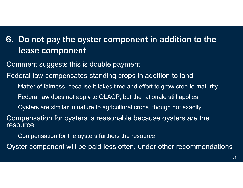### 6. Do not pay the oyster component in addition to the lease component

Comment suggests this is double payment

Federal law compensates standing crops in addition to land

Matter of fairness, because it takes time and effort to grow crop to maturity

Federal law does not apply to OLACP, but the rationale still applies

Oysters are similar in nature to agricultural crops, though not exactly

Compensation for oysters is reasonable because oysters *are* the resource

Compensation for the oysters furthers the resource

Oyster component will be paid less often, under other recommendations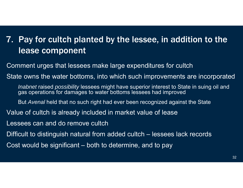### 7. Pay for cultch planted by the lessee, in addition to the lease component

Comment urges that lessees make large expenditures for cultch State owns the water bottoms, into which such improvements are incorporated *Inabnet* raised *possibility* lessees might have superior interest to State in suing oil and gas operations for damages to water bottoms lessees had improve d But *Avenal* held that no such right had ever been recognized against the State Value of cultch is already included in market value of lease Lessees can and do remove cultchDifficult to distinguish natural from added cultch – lessees lack records Cost would be significant – both to determine, and to pay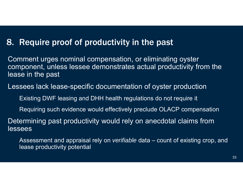### 8. Require proof of productivity in the past

Comment urges nominal compensation, or eliminating oyster component, unless lessee demonstrates actual productivity from the lease in the past

Lessees lack lease-specific documentation of oyster production

Existing DWF leasing and DHH health regulations do not require it

Requiring such evidence would effectively preclude OLACP compensation

Determining past productivity would rely on anecdotal claims from lessees

Assessment and appraisal rely on *verifiable* data – count of existing crop, and lease productivity potential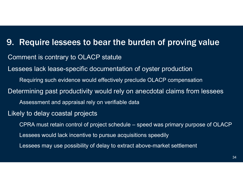9. Require lessees to bear the burden of proving value Comment is contrary to OLACP statute Lessees lack lease-specific documentation of oyster production Requiring such evidence would effectively preclude OLACP compensation Determining past productivity would rely on anecdotal claims from lessees Assessment and appraisal rely on verifiable data Likely to delay coastal projects CPRA must retain control of project schedule – speed was primary purpose of OLACP Lessees would lack incentive to pursue acquisitions speedily Lessees may use possibility of delay to extract above-market settlement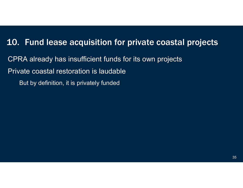### 10. Fund lease acquisition for private coastal projects

CPRA already has insufficient funds for its own projects Private coastal restoration is laudable But by definition, it is privately funded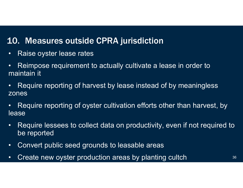### 10. Measures outside CPRA jurisdiction

- •Raise oyster lease rates
- $\bullet$  Reimpose requirement to actually cultivate a lease in order to maintain it
- $\bullet$  Require reporting of harvest by lease instead of by meaningless zones
- $\bullet$  Require reporting of oyster cultivation efforts other than harvest, by lease<sup>1</sup>
- $\bullet$  Require lessees to collect data on productivity, even if not required to be reported
- $\bullet$ Convert public seed grounds to leasable areas
- •Create new oyster production areas by planting cultch  $36$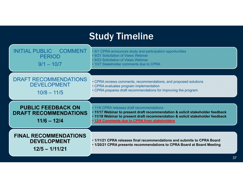## **Study Timeline**

| <b>INITIAL PUBLIC</b>                                                      | 9/1 CPRA announces study and participation opportunities                                                                                                                                                                                                        |
|----------------------------------------------------------------------------|-----------------------------------------------------------------------------------------------------------------------------------------------------------------------------------------------------------------------------------------------------------------|
| <b>COMMENT</b>                                                             | • 9/21 Solicitation of Views Webinar                                                                                                                                                                                                                            |
| <b>PERIOD</b>                                                              | • 9/23 Solicitation of Views Webinar                                                                                                                                                                                                                            |
| $9/1 - 10/7$                                                               | • 10/7 Stakeholder comments due to CPRA                                                                                                                                                                                                                         |
| <b>DRAFT RECOMMENDATIONS</b>                                               | • CPRA reviews comments, recommendations, and proposed solutions                                                                                                                                                                                                |
| <b>DEVELOPMENT</b>                                                         | • CPRA evaluates program implementation                                                                                                                                                                                                                         |
| $10/8 - 11/5$                                                              | • CPRA prepares draft recommendations for improving the program                                                                                                                                                                                                 |
| <b>PUBLIC FEEDBACK ON</b><br><b>DRAFT RECOMMENDATIONS</b><br>$11/6 - 12/4$ | • 11/6 CPRA releases draft recommendations<br>. 11/17 Webinar to present draft recommendation & solicit stakeholder feedback<br>. 11/18 Webinar to present draft recommendation & solicit stakeholder feedback<br>. 12/4 Comments due to CPRA from stakeholders |
| <b>FINAL RECOMMENDATIONS</b>                                               | • 1/11/21 CPRA releases final recommendations and submits to CPRA Board                                                                                                                                                                                         |
| <b>DEVELOPMENT</b>                                                         | . 1/20/21 CPRA presents recommendations to CPRA Board at Board Meeting                                                                                                                                                                                          |
| $12/5 - 1/11/21$                                                           | 37                                                                                                                                                                                                                                                              |